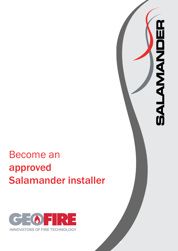

 $\blacksquare$ 

**BALAMANDE** 

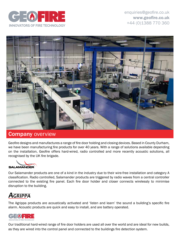



### **Company overview**

Geofire designs and manufactures a range of fire door holding and closing devices. Based in County Durham, we have been manufacturing fire products for over 40 years. With a range of solutions available depending on the installation, Geofire offers hard-wired, radio controlled and more recently acoustic solutions, all recognised by the UK fire brigade.



Our Salamander products are one of a kind in the industry due to their wire-free installation and category A classification. Radio controlled, Salamander products are triggered by radio waves from a central controller connected to the existing fire panel. Each fire door holder and closer connects wirelessly to minimise disruption to the building.

## *AGRIPPA*

The Agrippa products are acoustically activated and 'listen and learn' the sound a building's specific fire alarm. Acoustic products are quick and easy to install, and are battery operated.



Our traditional hard-wired range of fire door holders are used all over the world and are ideal for new builds, as they are wired into the control panel and connected to the buildings fire detection system.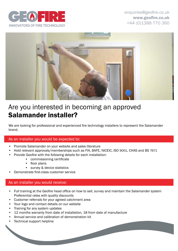



# Are you interested in becoming an approved Salamander installer?

We are looking for professional and experienced fire technology installers to represent the Salamander brand.

#### As an installer you would be expected to:

- Promote Salamander on your website and sales literature
- Hold relevant approvals/memberships such as FIA, BAFE, NICEIC, ISO 9001, CHAS and BS 7671
- Provide Geofire with the following details for each installation:
	- commissioning certificate
	- floor plans
	- survey & device statistics
- Demonstrate first-class customer service

#### As an installer you would receive:

- Full training at the Geofire head office on how to sell, survey and maintain the Salamander system Preferential rates with quality discounts
- Customer referrals for your agreed catchment area
- Your logo and contact details on our website
- Training for any system updates
- 12 months warranty from date of installation, 18 from date of manufacture
- Annual service and calibration of demonstration kit
- Technical support helpline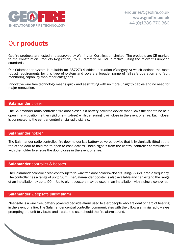

# Our products

Geofire products are tested and approved by Warrington Certification Limited. The products are CE marked to the Construction Products Regulation, R&TTE directive or EMC directive, using the relevant European standards.

Our Salamander system is suitable for BS7273-4 critical actuation (Category A) which defines the most robust requirements for this type of system and covers a broader range of fail-safe operation and fault monitoring capability than other categories.

Innovative wire free technology means quick and easy fitting with no more unsightly cables and no need for major renovation.

#### Salamander closer

The Salamander radio controlled fire door closer is a battery powered device that allows the door to be held open in any position (either rigid or swing-free) whilst ensuring it will close in the event of a fire. Each closer is connected to the central controller via radio signals.

#### Salamander holder

The Salamander radio controlled fire door holder is a battery-powered device that is hygienically fitted at the top of the door to hold the to open to ease access. Radio signals from the central controller communicate with the holder to ensure the door closes in the event of a fire.

#### **Salamander** controller & booster

The Salamander controller can control up to 99 wire free door holders/closers using 868 MHz radio frequency. The controller has a range of up to 50m. The Salamander booster is also available and can extend the range of an installation by up to 50m. Up to eight boosters may be used in an installation with a single controller.

#### **Salamander** Zleepsafe pillow alarm

Zleepsafe is a wire free, battery powered bedside alarm used to alert people who are deaf or hard of hearing in the event of a fire. The Salamander central controller communicates with the pillow alarm via radio waves prompting the unit to vibrate and awake the user should the fire alarm sound.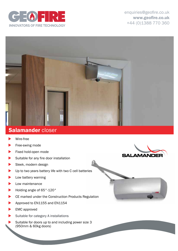

enquiries@geofire.co.uk www.geofire.co.uk +44 (0)1388 770 360



## Salamander closer

- Wire-free
- Free-swing mode
- Fixed hold-open mode
- Suitable for any fire door installation
- Sleek, modern design
- Up to two years battery life with two C cell batteries
- Low battery warning
- Low maintenance
- Holding angle of 65°-120°
- CE marked under the Construction Products Regulation
- Approved to EN1155 and EN1154
- EMC approved
- Suitable for category A installations
- Suitable for doors up to and including power size 3 (950mm & 60kg doors)



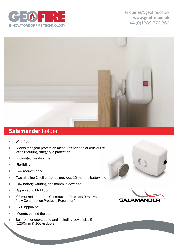

enquiries@geofire.co.uk www.geofire.co.uk +44 (0)1388 770 360



## **Salamander holder**

- Wire-free  $\bullet$
- Meets stringent protection measures needed at crucial fire exits requiring category A protection
- Prolonged fire door life
- Flexibility
- Low maintenance
- Two alkaline C cell batteries provides 12 months battery life
- Low battery warning one month in advance
- Approved to EN1155
- CE marked under the Construction Products Directive (now Construction Products Regulation)
- EMC approved
- Mounts behind the door
- Suitable for doors up to and including power size 5 (1250mm & 100kg doors)



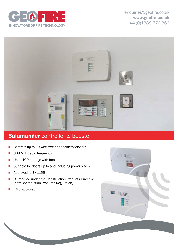



## **Salamander controller & booster**

- Controls up to 99 wire free door holders/closers
- 868 MHz radio frequency
- **n** Up to 100m range with booster
- Suitable for doors up to and including power size 5
- **n** Approved to EN1155
- CE marked under the Construction Products Directive (now Construction Products Regulation)
- $\blacksquare$  EMC approved

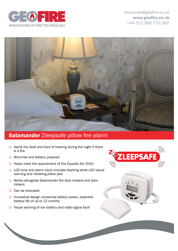



## **Salamander Zleepsafe pillow fire alarm**

- $\overline{O}$  Alerts the deaf and hard of hearing during the night if there is a fire
- $\bigcirc$  Wire-free and battery powered
- **O** Helps meet the requirement of the Equality Act 2010
- $\circ$  LCD time and alarm clock includes flashing white LED visual warning and vibrating pillow pad
- **o** Works alongside Salamander fire door holders and door closers
- $\bigcirc$  Can be relocated
- $\Omega$  Innovative design conserves battery power, expected battery life of up to 12 months
- $\circ$  Visual warning of low battery and radio signal fault